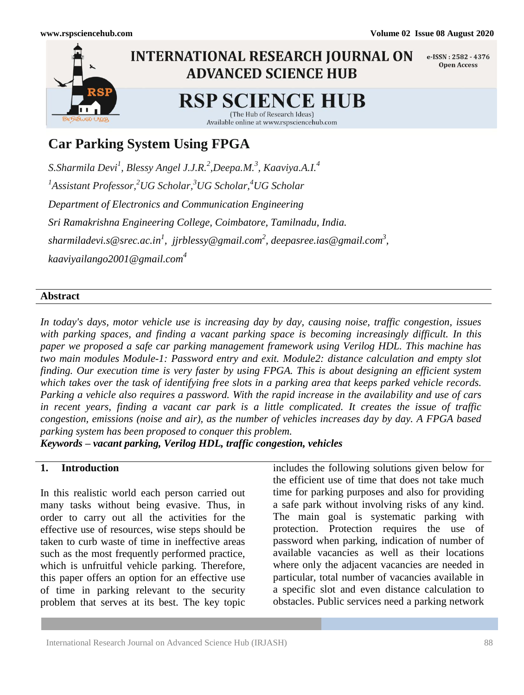

# **Car Parking System Using FPGA**

*S.Sharmila Devi<sup>1</sup> , Blessy Angel J.J.R.<sup>2</sup> ,Deepa.M.<sup>3</sup> , Kaaviya.A.I.<sup>4</sup> 1 Assistant Professor, <sup>2</sup>UG Scholar, <sup>3</sup>UG Scholar, <sup>4</sup>UG Scholar Department of Electronics and Communication Engineering Sri Ramakrishna Engineering College, Coimbatore, Tamilnadu, India. sharmiladevi.s@srec.ac.in<sup>1</sup> , jjrblessy@gmail.com<sup>2</sup> [, deepasree.ias@gmail.com](mailto:sharmiladevi.s@srec.ac.in1,%20%20jjrblessy@gmail.com2,%20deepasree.ias@gmail.com3,%20kaaviyailango2001@gmail.com)<sup>3</sup> , [kaaviyailango2001@gmail.com](mailto:sharmiladevi.s@srec.ac.in1,%20%20jjrblessy@gmail.com2,%20deepasree.ias@gmail.com3,%20kaaviyailango2001@gmail.com)<sup>4</sup>*

# **Abstract**

*In today's days, motor vehicle use is increasing day by day, causing noise, traffic congestion, issues with parking spaces, and finding a vacant parking space is becoming increasingly difficult. In this paper we proposed a safe car parking management framework using Verilog HDL. This machine has two main modules Module-1: Password entry and exit. Module2: distance calculation and empty slot finding. Our execution time is very faster by using FPGA. This is about designing an efficient system which takes over the task of identifying free slots in a parking area that keeps parked vehicle records. Parking a vehicle also requires a password. With the rapid increase in the availability and use of cars in recent years, finding a vacant car park is a little complicated. It creates the issue of traffic congestion, emissions (noise and air), as the number of vehicles increases day by day. A FPGA based parking system has been proposed to conquer this problem.*

*Keywords – vacant parking, Verilog HDL, traffic congestion, vehicles*

### **1. Introduction**

In this realistic world each person carried out many tasks without being evasive. Thus, in order to carry out all the activities for the effective use of resources, wise steps should be taken to curb waste of time in ineffective areas such as the most frequently performed practice, which is unfruitful vehicle parking. Therefore, this paper offers an option for an effective use of time in parking relevant to the security problem that serves at its best. The key topic includes the following solutions given below for the efficient use of time that does not take much time for parking purposes and also for providing a safe park without involving risks of any kind. The main goal is systematic parking with protection. Protection requires the use of password when parking, indication of number of available vacancies as well as their locations where only the adjacent vacancies are needed in particular, total number of vacancies available in a specific slot and even distance calculation to obstacles. Public services need a parking network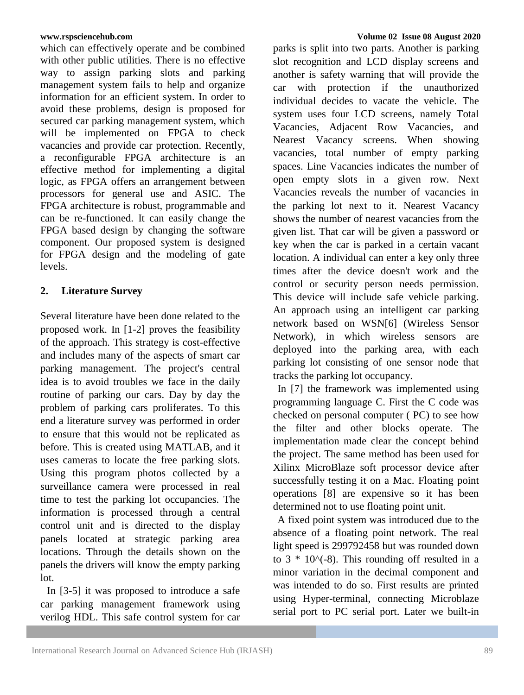which can effectively operate and be combined with other public utilities. There is no effective way to assign parking slots and parking management system fails to help and organize information for an efficient system. In order to avoid these problems, design is proposed for secured car parking management system, which will be implemented on FPGA to check vacancies and provide car protection. Recently, a reconfigurable FPGA architecture is an effective method for implementing a digital logic, as FPGA offers an arrangement between processors for general use and ASIC. The FPGA architecture is robust, programmable and can be re-functioned. It can easily change the FPGA based design by changing the software component. Our proposed system is designed for FPGA design and the modeling of gate levels.

# **2. Literature Survey**

Several literature have been done related to the proposed work. In [1-2] proves the feasibility of the approach. This strategy is cost-effective and includes many of the aspects of smart car parking management. The project's central idea is to avoid troubles we face in the daily routine of parking our cars. Day by day the problem of parking cars proliferates. To this end a literature survey was performed in order to ensure that this would not be replicated as before. This is created using MATLAB, and it uses cameras to locate the free parking slots. Using this program photos collected by a surveillance camera were processed in real time to test the parking lot occupancies. The information is processed through a central control unit and is directed to the display panels located at strategic parking area locations. Through the details shown on the panels the drivers will know the empty parking lot.

In [3-5] it was proposed to introduce a safe car parking management framework using verilog HDL. This safe control system for car parks is split into two parts. Another is parking slot recognition and LCD display screens and another is safety warning that will provide the car with protection if the unauthorized individual decides to vacate the vehicle. The system uses four LCD screens, namely Total Vacancies, Adjacent Row Vacancies, and Nearest Vacancy screens. When showing vacancies, total number of empty parking spaces. Line Vacancies indicates the number of open empty slots in a given row. Next Vacancies reveals the number of vacancies in the parking lot next to it. Nearest Vacancy shows the number of nearest vacancies from the given list. That car will be given a password or key when the car is parked in a certain vacant location. A individual can enter a key only three times after the device doesn't work and the control or security person needs permission. This device will include safe vehicle parking. An approach using an intelligent car parking network based on WSN[6] (Wireless Sensor Network), in which wireless sensors are deployed into the parking area, with each parking lot consisting of one sensor node that tracks the parking lot occupancy.

In [7] the framework was implemented using programming language C. First the C code was checked on personal computer ( PC) to see how the filter and other blocks operate. The implementation made clear the concept behind the project. The same method has been used for Xilinx MicroBlaze soft processor device after successfully testing it on a Mac. Floating point operations [8] are expensive so it has been determined not to use floating point unit.

A fixed point system was introduced due to the absence of a floating point network. The real light speed is 299792458 but was rounded down to  $3 * 10$ <sup> $\wedge$ </sup>(-8). This rounding off resulted in a minor variation in the decimal component and was intended to do so. First results are printed using Hyper-terminal, connecting Microblaze serial port to PC serial port. Later we built-in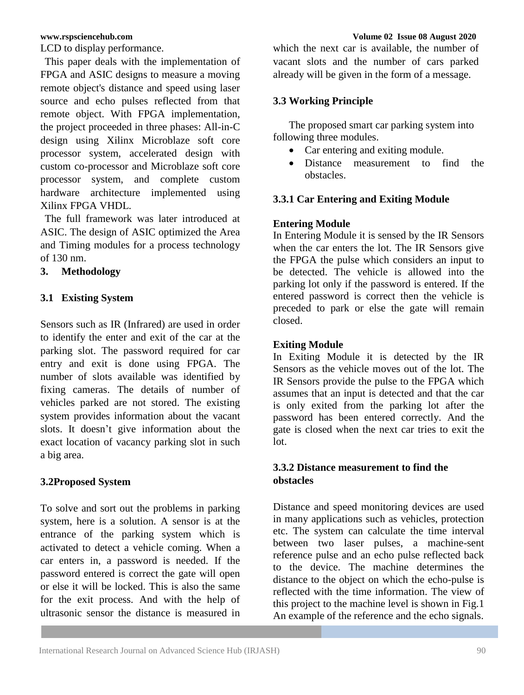LCD to display performance.

This paper deals with the implementation of FPGA and ASIC designs to measure a moving remote object's distance and speed using laser source and echo pulses reflected from that remote object. With FPGA implementation, the project proceeded in three phases: All-in-C design using Xilinx Microblaze soft core processor system, accelerated design with custom co-processor and Microblaze soft core processor system, and complete custom hardware architecture implemented using Xilinx FPGA VHDL.

The full framework was later introduced at ASIC. The design of ASIC optimized the Area and Timing modules for a process technology of 130 nm.

# **3. Methodology**

# **3.1 Existing System**

Sensors such as IR (Infrared) are used in order to identify the enter and exit of the car at the parking slot. The password required for car entry and exit is done using FPGA. The number of slots available was identified by fixing cameras. The details of number of vehicles parked are not stored. The existing system provides information about the vacant slots. It doesn't give information about the exact location of vacancy parking slot in such a big area.

#### **3.2Proposed System**

To solve and sort out the problems in parking system, here is a solution. A sensor is at the entrance of the parking system which is activated to detect a vehicle coming. When a car enters in, a password is needed. If the password entered is correct the gate will open or else it will be locked. This is also the same for the exit process. And with the help of ultrasonic sensor the distance is measured in

which the next car is available, the number of vacant slots and the number of cars parked already will be given in the form of a message.

### **3.3 Working Principle**

 The proposed smart car parking system into following three modules.

- Car entering and exiting module.
- Distance measurement to find the obstacles.

### **3.3.1 Car Entering and Exiting Module**

#### **Entering Module**

In Entering Module it is sensed by the IR Sensors when the car enters the lot. The IR Sensors give the FPGA the pulse which considers an input to be detected. The vehicle is allowed into the parking lot only if the password is entered. If the entered password is correct then the vehicle is preceded to park or else the gate will remain closed.

#### **Exiting Module**

In Exiting Module it is detected by the IR Sensors as the vehicle moves out of the lot. The IR Sensors provide the pulse to the FPGA which assumes that an input is detected and that the car is only exited from the parking lot after the password has been entered correctly. And the gate is closed when the next car tries to exit the lot.

# **3.3.2 Distance measurement to find the obstacles**

Distance and speed monitoring devices are used in many applications such as vehicles, protection etc. The system can calculate the time interval between two laser pulses, a machine-sent reference pulse and an echo pulse reflected back to the device. The machine determines the distance to the object on which the echo-pulse is reflected with the time information. The view of this project to the machine level is shown in Fig.1 An example of the reference and the echo signals.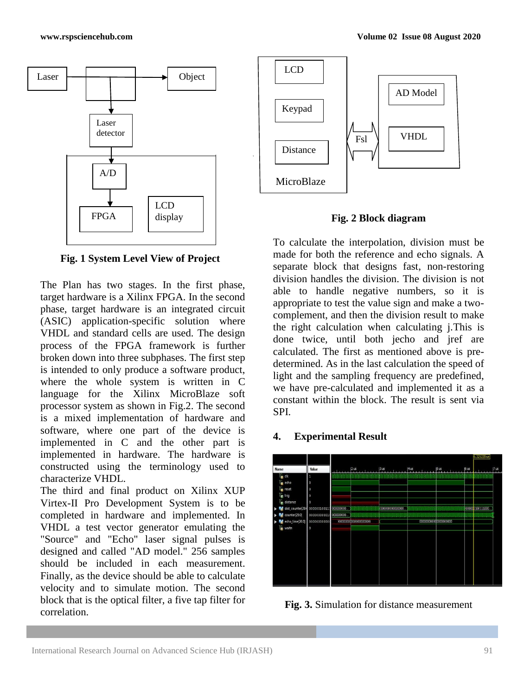

**Fig. 1 System Level View of Project**

The Plan has two stages. In the first phase, target hardware is a Xilinx FPGA. In the second phase, target hardware is an integrated circuit (ASIC) application-specific solution where VHDL and standard cells are used. The design process of the FPGA framework is further broken down into three subphases. The first step is intended to only produce a software product, where the whole system is written in C language for the Xilinx MicroBlaze soft processor system as shown in Fig.2. The second is a mixed implementation of hardware and software, where one part of the device is implemented in C and the other part is implemented in hardware. The hardware is constructed using the terminology used to characterize VHDL.

The third and final product on Xilinx XUP Virtex-II Pro Development System is to be completed in hardware and implemented. In VHDL a test vector generator emulating the "Source" and "Echo" laser signal pulses is designed and called "AD model." 256 samples should be included in each measurement. Finally, as the device should be able to calculate velocity and to simulate motion. The second block that is the optical filter, a five tap filter for correlation.



**Fig. 2 Block diagram**

To calculate the interpolation, division must be made for both the reference and echo signals. A separate block that designs fast, non-restoring division handles the division. The division is not able to handle negative numbers, so it is appropriate to test the value sign and make a twocomplement, and then the division result to make the right calculation when calculating j.This is done twice, until both jecho and jref are calculated. The first as mentioned above is predetermined. As in the last calculation the speed of light and the sampling frequency are predefined, we have pre-calculated and implemented it as a constant within the block. The result is sent via SPI.

### **4. Experimental Result**



**Fig. 3.** Simulation for distance measurement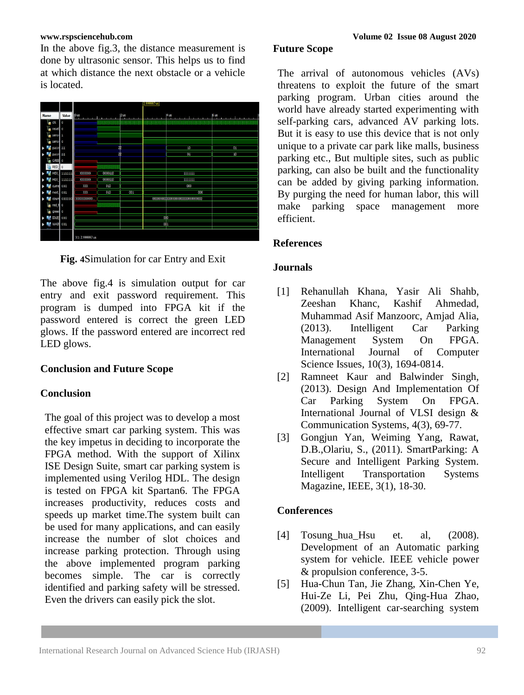In the above fig.3, the distance measurement is done by ultrasonic sensor. This helps us to find at which distance the next obstacle or a vehicle is located.



**Fig. 4**Simulation for car Entry and Exit

The above fig.4 is simulation output for car entry and exit password requirement. This program is dumped into FPGA kit if the password entered is correct the green LED glows. If the password entered are incorrect red LED glows.

# **Conclusion and Future Scope**

# **Conclusion**

The goal of this project was to develop a most effective smart car parking system. This was the key impetus in deciding to incorporate the FPGA method. With the support of Xilinx ISE Design Suite, smart car parking system is implemented using Verilog HDL. The design is tested on FPGA kit Spartan6. The FPGA increases productivity, reduces costs and speeds up market time.The system built can be used for many applications, and can easily increase the number of slot choices and increase parking protection. Through using the above implemented program parking becomes simple. The car is correctly identified and parking safety will be stressed. Even the drivers can easily pick the slot.

### **Future Scope**

The arrival of autonomous vehicles (AVs) threatens to exploit the future of the smart parking program. Urban cities around the world have already started experimenting with self-parking cars, advanced AV parking lots. But it is easy to use this device that is not only unique to a private car park like malls, business parking etc., But multiple sites, such as public parking, can also be built and the functionality can be added by giving parking information. By purging the need for human labor, this will make parking space management more efficient.

# **References**

# **Journals**

- [1] Rehanullah Khana, Yasir Ali Shahb, Zeeshan Khanc, Kashif Ahmedad, Muhammad Asif Manzoorc, Amjad Alia, (2013). Intelligent Car Parking Management System On FPGA. International Journal of Computer Science Issues, 10(3), 1694-0814.
- [2] Ramneet Kaur and Balwinder Singh, (2013). Design And Implementation Of Car Parking System On FPGA. International Journal of VLSI design & Communication Systems, 4(3), 69-77.
- [3] Gongjun Yan, Weiming Yang, Rawat, D.B.,Olariu, S., (2011). SmartParking: A Secure and Intelligent Parking System. Intelligent Transportation Systems Magazine, IEEE, 3(1), 18-30.

# **Conferences**

- [4] Tosung\_hua\_Hsu et. al, (2008). Development of an Automatic parking system for vehicle. IEEE vehicle power & propulsion conference, 3-5.
- [5] Hua-Chun Tan, Jie Zhang, Xin-Chen Ye, Hui-Ze Li, Pei Zhu, Qing-Hua Zhao, (2009). Intelligent car-searching system